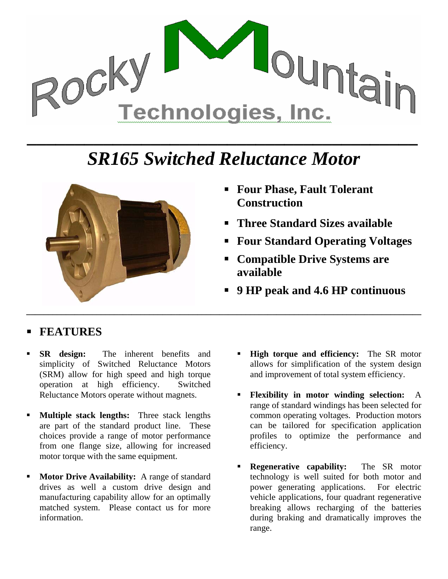

## *SR165 Switched Reluctance Motor*



- **Four Phase, Fault Tolerant Construction**
- **Three Standard Sizes available**
- **Four Standard Operating Voltages**
- **Compatible Drive Systems are available**
- **9 HP peak and 4.6 HP continuous**

## **FEATURES**

- **SR design:** The inherent benefits and simplicity of Switched Reluctance Motors (SRM) allow for high speed and high torque operation at high efficiency. Switched Reluctance Motors operate without magnets.
- **Multiple stack lengths:** Three stack lengths are part of the standard product line. These choices provide a range of motor performance from one flange size, allowing for increased motor torque with the same equipment.
- **Motor Drive Availability:** A range of standard drives as well a custom drive design and manufacturing capability allow for an optimally matched system. Please contact us for more information.
- **High torque and efficiency:** The SR motor allows for simplification of the system design and improvement of total system efficiency.
- **Flexibility in motor winding selection:** A range of standard windings has been selected for common operating voltages. Production motors can be tailored for specification application profiles to optimize the performance and efficiency.
- **Regenerative capability:** The SR motor technology is well suited for both motor and power generating applications. For electric vehicle applications, four quadrant regenerative breaking allows recharging of the batteries during braking and dramatically improves the range.